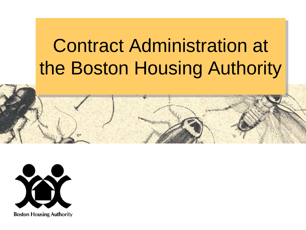# Contract Administration at the Boston Housing Authority



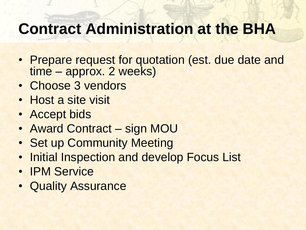- Prepare request for quotation (est. due date and time – approx. 2 weeks)
- Choose 3 vendors
- Host a site visit
- Accept bids
- Award Contract sign MOU
- Set up Community Meeting
- Initial Inspection and develop Focus List
- IPM Service
- Quality Assurance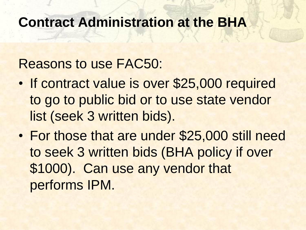#### Reasons to use FAC50:

- If contract value is over \$25,000 required to go to public bid or to use state vendor list (seek 3 written bids).
- For those that are under \$25,000 still need to seek 3 written bids (BHA policy if over \$1000). Can use any vendor that performs IPM.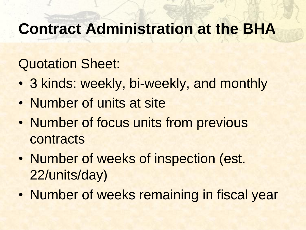#### Quotation Sheet:

- 3 kinds: weekly, bi-weekly, and monthly
- Number of units at site
- Number of focus units from previous contracts
- Number of weeks of inspection (est. 22/units/day)
- Number of weeks remaining in fiscal year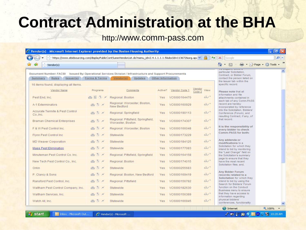#### http://www.comm-pass.com

|                                                                                                                                                                                     |                                                                                | https://www.ebidsourcing.com/displayPublicContSummVendorList.do?menu_id=2.4.1.1.1.1.5&docId=113672&org.apa V |                   |               |                             | $+$            | $\times$<br>Google                                                                                                                                          | - م |
|-------------------------------------------------------------------------------------------------------------------------------------------------------------------------------------|--------------------------------------------------------------------------------|--------------------------------------------------------------------------------------------------------------|-------------------|---------------|-----------------------------|----------------|-------------------------------------------------------------------------------------------------------------------------------------------------------------|-----|
| ं- Vendor(s)                                                                                                                                                                        |                                                                                |                                                                                                              |                   |               |                             |                | ■ · ② Page · ① Tools ·<br>$\circ$ + 6 +                                                                                                                     |     |
| Document Number: FAC50 Issued By: Operational Services Division / Infrastructure and Support Procurements<br>Summary<br>Rules<br>lssuer(s)<br>16 items found, displaying all items. | Forms & Terms                                                                  | Vendor(s)<br>Updates                                                                                         | Other Information |               |                             |                | ro maan c'avvara<br>particular Solicitation,<br>Contract, or Bidder Forum,<br>contact the person listed on<br>the Issuer tab within the<br>specific record. |     |
| Vendor Name                                                                                                                                                                         | Programs                                                                       | Comments                                                                                                     | Active?           | Vendor Code 1 | Vendor<br>Code <sub>2</sub> | View           | Please note that all                                                                                                                                        |     |
| Pest End, Inc.                                                                                                                                                                      | 画目③〆                                                                           | Regional: Boston                                                                                             | <b>Yes</b>        | VC6000164470  |                             | $G\rightarrow$ | information and file<br>attachments contained in                                                                                                            |     |
| A-1 Exterminators                                                                                                                                                                   | 画(*) /                                                                         | Regional: Worcester, Boston,<br>New Bedford                                                                  | <b>Yes</b>        | VC6000160929  |                             | G              | each tab of any Comm-PASS<br>record are hereby<br>incorporated by reference                                                                                 |     |
| Accurate Termite & Pest Control<br>Co., Inc.                                                                                                                                        | 画③〆                                                                            | Regional: Springfield                                                                                        | <b>Yes</b>        | VC6000190113  |                             | G              | into the Solicitation, Bidders'<br>Conference (Forum), and<br>resulting Contract, if any, of                                                                |     |
| <b>Braman Chemical Enterprises</b>                                                                                                                                                  | $\lim_{n\to\infty}$ (%) $\mathcal{M}$                                          | Regional: Pittsfield, Springfield,<br>Worcester, Boston                                                      | <b>Yes</b>        | VC6000174307  |                             | G              | that record.                                                                                                                                                |     |
| F & W Pest Control Inc.                                                                                                                                                             | 画(等) 〆                                                                         | Regional: Worcester, Boston                                                                                  | <b>Yes</b>        | VC6000166048  |                             | G              | It is the responsibility of<br>every bidder to check                                                                                                        |     |
| Flynn Pest Control Inc                                                                                                                                                              | 画(*) /                                                                         | Statewide                                                                                                    | <b>Yes</b>        | VC6000173229  |                             | G              | Comm-PASS for both:                                                                                                                                         |     |
| MD Weaver Corporation                                                                                                                                                               | 画(等) 〆                                                                         | Statewide                                                                                                    | <b>Yes</b>        | VC6000184125  |                             | $G\rightarrow$ | Any addenda or<br>modifications to a                                                                                                                        |     |
| <b>Mass Pest Elimination</b>                                                                                                                                                        | 画⑤〆                                                                            | Statewide                                                                                                    | <b>Yes</b>        | VC6000177083  |                             | G              | Solicitation for which they<br>intend to bid by monitoring                                                                                                  |     |
| Minuteman Pest Control Co. Inc.                                                                                                                                                     | $\mathbb{H}(\mathbb{C})$ N                                                     | Regional: Pittsfield, Springfield                                                                            | <b>Yes</b>        | VC6000164158  |                             | G              | the "Last Change" field on<br>the Solicitation's summary                                                                                                    |     |
| New Tech Pest Control Co., Inc.                                                                                                                                                     | 画(等) が                                                                         | Regional: Boston                                                                                             | <b>Yes</b>        | VC6000174015  |                             | $G\rightarrow$ | page to ensure that they<br>have the most recent                                                                                                            |     |
| Orkin                                                                                                                                                                               | 画(等) 〆                                                                         | Statewide                                                                                                    | <b>Yes</b>        | VC6000255683  |                             | $G\rightarrow$ | Solicitation files; and,                                                                                                                                    |     |
| P. Clancy & Sons                                                                                                                                                                    | $\overline{\text{min}}$ $\left(\frac{\text{w}}{\text{w}}\right)$ $\mathcal{N}$ | Regional: Boston, New Bedford                                                                                | <b>Yes</b>        | VC6000169419  |                             | G              | Any Bidder Forum<br>records related to a                                                                                                                    |     |
| Ransford Pest Control, Inc.                                                                                                                                                         | 画⑤〆                                                                            | Regional: Pittsfield                                                                                         | <b>Yes</b>        | VC6000156782  |                             | $G\rightarrow$ | Solicitation for which they<br>intend to bid by using the                                                                                                   |     |
| Waltham Pest Control Company, Inc.                                                                                                                                                  | 画⑤〆                                                                            | Statewide                                                                                                    | Yes               | VC6000182630  |                             | G              | Search for Bidders' Forum<br>function on the Conduct<br>Business menu to ensure                                                                             |     |
| Waltham Services, Inc.                                                                                                                                                              | $H_1(\tilde{V})$ $\mathcal{N}$                                                 | Statewide                                                                                                    | <b>Yes</b>        | VC6000156389  |                             | G              | that they have access to<br>information regarding                                                                                                           |     |
| Watch All, Inc.                                                                                                                                                                     | $\mu$ His $(S)$ N                                                              | Statewide                                                                                                    | Yes.              | VC6000166945  |                             | $G\rightarrow$ | physical bidders'<br>conferences, functionality                                                                                                             |     |

**A** start

としかほく  $D$   $\sqrt{v}$   $\approx$   $\sqrt{2}$  10:28 AM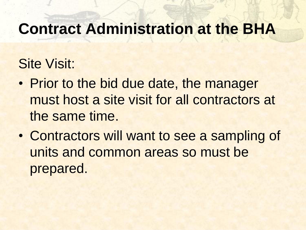### Site Visit:

- Prior to the bid due date, the manager must host a site visit for all contractors at the same time.
- Contractors will want to see a sampling of units and common areas so must be prepared.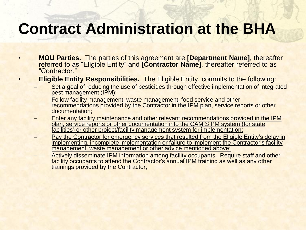- **MOU Parties.** The parties of this agreement are **[Department Name]**, thereafter referred to as "Eligible Entity" and **[Contractor Name]**, thereafter referred to as "Contractor."
- **Eligible Entity Responsibilities.** The Eligible Entity, commits to the following:
	- Set a goal of reducing the use of pesticides through effective implementation of integrated pest management (IPM);
	- Follow facility management, waste management, food service and other recommendations provided by the Contractor in the IPM plan, service reports or other documentation;
	- Enter any facility maintenance and other relevant recommendations provided in the IPM plan, service reports or other documentation into the CAMIS PM system (for state facilities) or other project/facility management system for implementation;
	- Pay the Contractor for emergency services that resulted from the Eligible Entity's delay in implementing, incomplete implementation or failure to implement the Contractor's facility management, waste management or other advice mentioned above;
	- Actively disseminate IPM information among facility occupants. Require staff and other facility occupants to attend the Contractor's annual IPM training as well as any other trainings provided by the Contractor;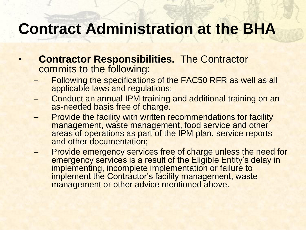- **Contractor Responsibilities.** The Contractor commits to the following:
	- Following the specifications of the FAC50 RFR as well as all applicable laws and regulations;
	- Conduct an annual IPM training and additional training on an as-needed basis free of charge.
	- Provide the facility with written recommendations for facility management, waste management, food service and other areas of operations as part of the IPM plan, service reports and other documentation;
	- Provide emergency services free of charge unless the need for emergency services is a result of the Eligible Entity's delay in implementing, incomplete implementation or failure to implement the Contractor's facility management, waste management or other advice mentioned above.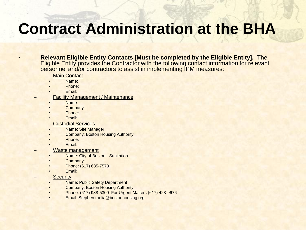• **Relevant Eligible Entity Contacts [Must be completed by the Eligible Entity].** The Eligible Entity provides the Contractor with the following contact information for relevant personnel and/or contractors to assist in implementing IPM measures:

- **Main Contact**
- Name:
- Phone:
- Email:
- **Facility Management / Maintenance** 
	- Name:
	- Company:
	- Phone:
	- Email:
	- Custodial Services
		- Name: Site Manager
		- **Company: Boston Housing Authority**
		- Phone:
		- Email:
	- Waste management
	- Name: City of Boston Sanitation
	- Company:
	- Phone: (617) 635-7573
	- Email:
	- **Security** 
		- Name: Public Safety Department
		- Company: Boston Housing Authority
		- Phone: (617) 988-5300 For Urgent Matters (617) 423-9676
		- Email: Stephen.melia@bostonhousing.org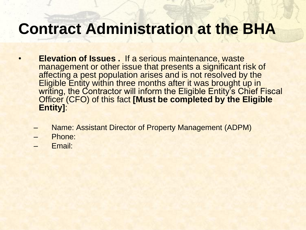- **Elevation of Issues .** If a serious maintenance, waste management or other issue that presents a significant risk of affecting a pest population arises and is not resolved by the Eligible Entity within three months after it was brought up in writing, the Contractor will inform the Eligible Entity's Chief Fiscal Officer (CFO) of this fact **[Must be completed by the Eligible Entity]**:
	- Name: Assistant Director of Property Management (ADPM)
	- Phone:
	- Email: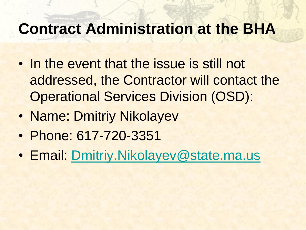- In the event that the issue is still not addressed, the Contractor will contact the Operational Services Division (OSD):
- Name: Dmitriy Nikolayev
- Phone: 617-720-3351
- Email: [Dmitriy.Nikolayev@state.ma.us](mailto:Dmitriy.Nikolayev@state.ma.us)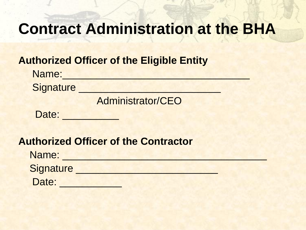#### **Authorized Officer of the Eligible Entity**

| Name:            |                   |
|------------------|-------------------|
| <b>Signature</b> |                   |
|                  | Administrator/CEO |
| Date:            |                   |

#### **Authorized Officer of the Contractor**

| Name:     |  |
|-----------|--|
| Signature |  |
| Date:     |  |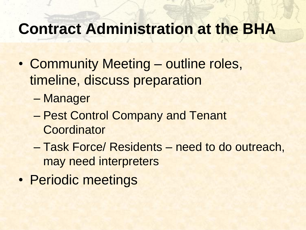- Community Meeting outline roles, timeline, discuss preparation
	- Manager
	- Pest Control Company and Tenant **Coordinator**
	- Task Force/ Residents need to do outreach, may need interpreters
- Periodic meetings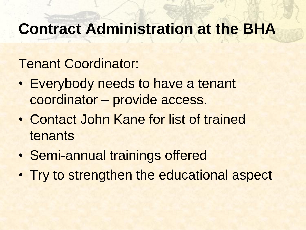#### Tenant Coordinator:

- Everybody needs to have a tenant coordinator – provide access.
- Contact John Kane for list of trained tenants
- Semi-annual trainings offered
- Try to strengthen the educational aspect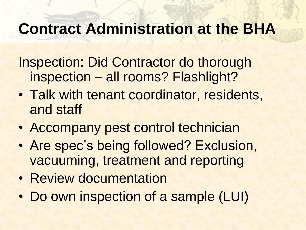Inspection: Did Contractor do thorough inspection – all rooms? Flashlight?

- Talk with tenant coordinator, residents, and staff
- Accompany pest control technician
- Are spec's being followed? Exclusion, vacuuming, treatment and reporting
- Review documentation
- Do own inspection of a sample (LUI)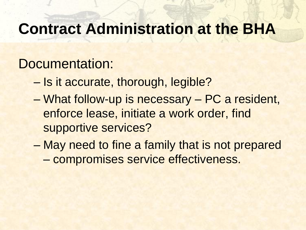#### Documentation:

- Is it accurate, thorough, legible?
- What follow-up is necessary PC a resident, enforce lease, initiate a work order, find supportive services?
- May need to fine a family that is not prepared – compromises service effectiveness.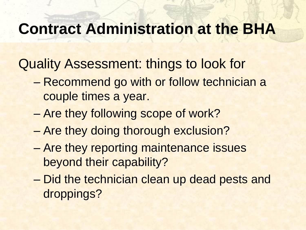Quality Assessment: things to look for

- Recommend go with or follow technician a couple times a year.
- Are they following scope of work?
- Are they doing thorough exclusion?
- Are they reporting maintenance issues beyond their capability?
- Did the technician clean up dead pests and droppings?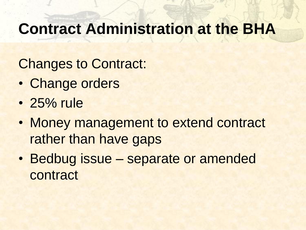Changes to Contract:

- Change orders
- 25% rule
- Money management to extend contract rather than have gaps
- Bedbug issue separate or amended contract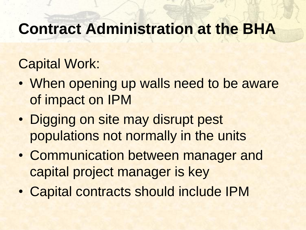### Capital Work:

- When opening up walls need to be aware of impact on IPM
- Digging on site may disrupt pest populations not normally in the units
- Communication between manager and capital project manager is key
- Capital contracts should include IPM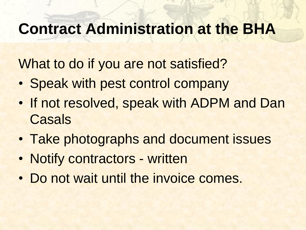What to do if you are not satisfied?

- Speak with pest control company
- If not resolved, speak with ADPM and Dan **Casals**
- Take photographs and document issues
- Notify contractors written
- Do not wait until the invoice comes.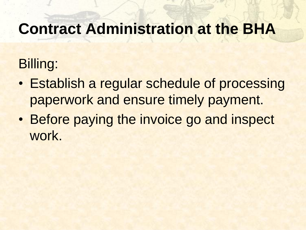### Billing:

- Establish a regular schedule of processing paperwork and ensure timely payment.
- Before paying the invoice go and inspect work.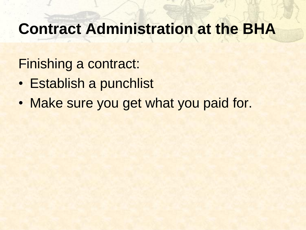Finishing a contract:

- Establish a punchlist
- Make sure you get what you paid for.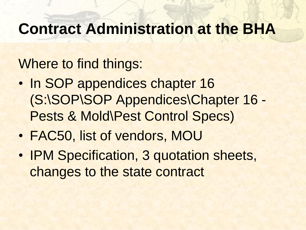### Where to find things:

- In SOP appendices chapter 16 (S:\SOP\SOP Appendices\Chapter 16 - Pests & Mold\Pest Control Specs)
- FAC50, list of vendors, MOU
- IPM Specification, 3 quotation sheets, changes to the state contract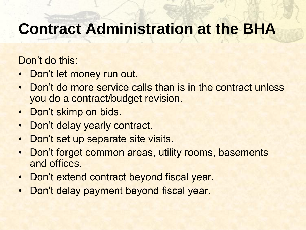Don't do this:

- Don't let money run out.
- Don't do more service calls than is in the contract unless you do a contract/budget revision.
- Don't skimp on bids.
- Don't delay yearly contract.
- Don't set up separate site visits.
- Don't forget common areas, utility rooms, basements and offices.
- Don't extend contract beyond fiscal year.
- Don't delay payment beyond fiscal year.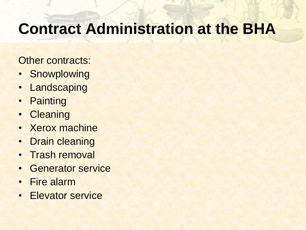Other contracts:

- Snowplowing
- Landscaping
- Painting
- Cleaning
- Xerox machine
- Drain cleaning
- Trash removal
- Generator service
- Fire alarm
- Elevator service